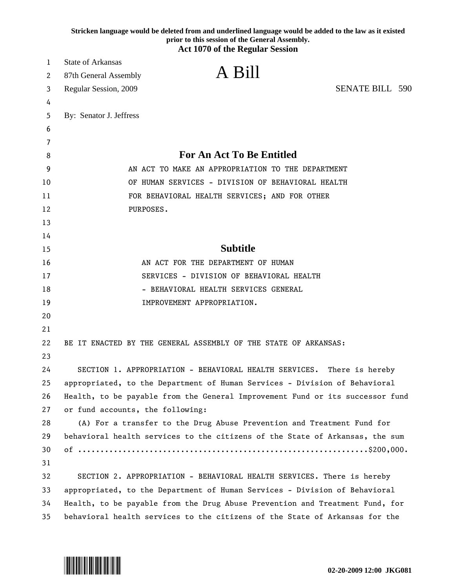|    | Stricken language would be deleted from and underlined language would be added to the law as it existed<br>prior to this session of the General Assembly.<br><b>Act 1070 of the Regular Session</b> |
|----|-----------------------------------------------------------------------------------------------------------------------------------------------------------------------------------------------------|
| 1  | <b>State of Arkansas</b>                                                                                                                                                                            |
| 2  | A Bill<br>87th General Assembly                                                                                                                                                                     |
| 3  | <b>SENATE BILL 590</b><br>Regular Session, 2009                                                                                                                                                     |
| 4  |                                                                                                                                                                                                     |
| 5  | By: Senator J. Jeffress                                                                                                                                                                             |
| 6  |                                                                                                                                                                                                     |
| 7  |                                                                                                                                                                                                     |
| 8  | <b>For An Act To Be Entitled</b>                                                                                                                                                                    |
| 9  | AN ACT TO MAKE AN APPROPRIATION TO THE DEPARTMENT                                                                                                                                                   |
| 10 | OF HUMAN SERVICES - DIVISION OF BEHAVIORAL HEALTH                                                                                                                                                   |
| 11 | FOR BEHAVIORAL HEALTH SERVICES; AND FOR OTHER                                                                                                                                                       |
| 12 | PURPOSES.                                                                                                                                                                                           |
| 13 |                                                                                                                                                                                                     |
| 14 |                                                                                                                                                                                                     |
| 15 | <b>Subtitle</b>                                                                                                                                                                                     |
| 16 | AN ACT FOR THE DEPARTMENT OF HUMAN                                                                                                                                                                  |
| 17 | SERVICES - DIVISION OF BEHAVIORAL HEALTH                                                                                                                                                            |
| 18 | - BEHAVIORAL HEALTH SERVICES GENERAL                                                                                                                                                                |
| 19 | IMPROVEMENT APPROPRIATION.                                                                                                                                                                          |
| 20 |                                                                                                                                                                                                     |
| 21 |                                                                                                                                                                                                     |
| 22 | BE IT ENACTED BY THE GENERAL ASSEMBLY OF THE STATE OF ARKANSAS:                                                                                                                                     |
| 23 |                                                                                                                                                                                                     |
| 24 | SECTION 1. APPROPRIATION - BEHAVIORAL HEALTH SERVICES. There is hereby                                                                                                                              |
| 25 | appropriated, to the Department of Human Services - Division of Behavioral                                                                                                                          |
| 26 | Health, to be payable from the General Improvement Fund or its successor fund                                                                                                                       |
| 27 | or fund accounts, the following:                                                                                                                                                                    |
| 28 | (A) For a transfer to the Drug Abuse Prevention and Treatment Fund for                                                                                                                              |
| 29 | behavioral health services to the citizens of the State of Arkansas, the sum                                                                                                                        |
| 30 |                                                                                                                                                                                                     |
| 31 |                                                                                                                                                                                                     |
| 32 | SECTION 2. APPROPRIATION - BEHAVIORAL HEALTH SERVICES. There is hereby                                                                                                                              |
| 33 | appropriated, to the Department of Human Services - Division of Behavioral                                                                                                                          |
| 34 | Health, to be payable from the Drug Abuse Prevention and Treatment Fund, for                                                                                                                        |
| 35 | behavioral health services to the citizens of the State of Arkansas for the                                                                                                                         |

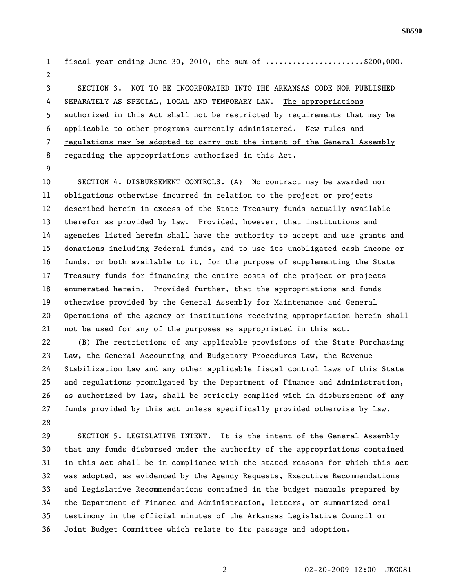**SB590** 

1 fiscal year ending June 30, 2010, the sum of .....................\$200,000. 2 3 SECTION 3. NOT TO BE INCORPORATED INTO THE ARKANSAS CODE NOR PUBLISHED 4 SEPARATELY AS SPECIAL, LOCAL AND TEMPORARY LAW. The appropriations 5 authorized in this Act shall not be restricted by requirements that may be 6 applicable to other programs currently administered. New rules and 7 regulations may be adopted to carry out the intent of the General Assembly 8 regarding the appropriations authorized in this Act.

9

10 SECTION 4. DISBURSEMENT CONTROLS. (A) No contract may be awarded nor 11 obligations otherwise incurred in relation to the project or projects 12 described herein in excess of the State Treasury funds actually available 13 therefor as provided by law. Provided, however, that institutions and 14 agencies listed herein shall have the authority to accept and use grants and 15 donations including Federal funds, and to use its unobligated cash income or 16 funds, or both available to it, for the purpose of supplementing the State 17 Treasury funds for financing the entire costs of the project or projects 18 enumerated herein. Provided further, that the appropriations and funds 19 otherwise provided by the General Assembly for Maintenance and General 20 Operations of the agency or institutions receiving appropriation herein shall 21 not be used for any of the purposes as appropriated in this act. 22 (B) The restrictions of any applicable provisions of the State Purchasing 23 Law, the General Accounting and Budgetary Procedures Law, the Revenue 24 Stabilization Law and any other applicable fiscal control laws of this State 25 and regulations promulgated by the Department of Finance and Administration,

26 as authorized by law, shall be strictly complied with in disbursement of any 27 funds provided by this act unless specifically provided otherwise by law. 28

29 SECTION 5. LEGISLATIVE INTENT. It is the intent of the General Assembly 30 that any funds disbursed under the authority of the appropriations contained 31 in this act shall be in compliance with the stated reasons for which this act 32 was adopted, as evidenced by the Agency Requests, Executive Recommendations 33 and Legislative Recommendations contained in the budget manuals prepared by 34 the Department of Finance and Administration, letters, or summarized oral 35 testimony in the official minutes of the Arkansas Legislative Council or 36 Joint Budget Committee which relate to its passage and adoption.